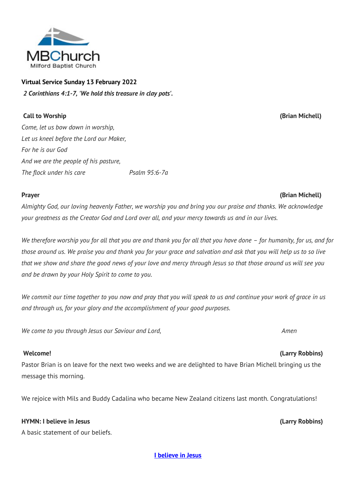

# **Virtual Service Sunday 13 February 2022** *2 Corinthians 4:1-7, 'We hold this treasure in clay pots'.*

## **Call to Worship (Brian Michell)**

*Come, let us bow down in worship, Let us kneel before the Lord our Maker, For he is our God And we are the people of his pasture, The flock under his care Psalm 95:6-7a*

### **Prayer (Brian Michell)**

*Almighty God, our loving heavenly Father, we worship you and bring you our praise and thanks. We acknowledge your greatness as the Creator God and Lord over all, and your mercy towards us and in our lives.* 

*We therefore worship you for all that you are and thank you for all that you have done – for humanity, for us, and for those around us. We praise you and thank you for your grace and salvation and ask that you will help us to so live that we show and share the good news of your love and mercy through Jesus so that those around us will see you and be drawn by your Holy Spirit to come to you.*

*We commit our time together to you now and pray that you will speak to us and continue your work of grace in us and through us, for your glory and the accomplishment of your good purposes.* 

*We come to you through Jesus our Saviour and Lord, Amen*

Pastor Brian is on leave for the next two weeks and we are delighted to have Brian Michell bringing us the message this morning.

We rejoice with Mils and Buddy Cadalina who became New Zealand citizens last month. Congratulations!

## **HYMN: I believe in Jesus (Larry Robbins)**

A basic statement of our beliefs.

**[I believe in Jesus](http://www.viewpure.com/FF3fj2CaqxI?start=0&end=0)**

# **Welcome! (Larry Robbins)**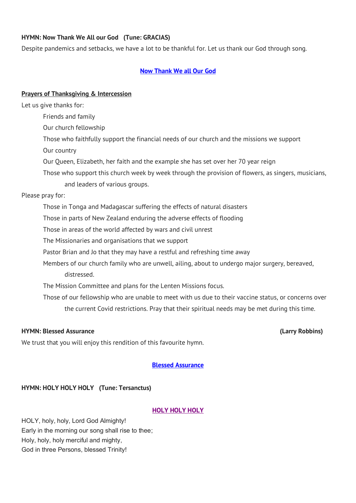#### **HYMN: Now Thank We All our God (Tune: GRACIAS)**

Despite pandemics and setbacks, we have a lot to be thankful for. Let us thank our God through song.

#### **[Now Thank We all Our God](http://www.viewpure.com/b8QRHX8HMnM?start=0&end=0)**

#### **Prayers of Thanksgiving & Intercession**

Let us give thanks for:

Friends and family

Our church fellowship

Those who faithfully support the financial needs of our church and the missions we support

Our country

Our Queen, Elizabeth, her faith and the example she has set over her 70 year reign

Those who support this church week by week through the provision of flowers, as singers, musicians,

and leaders of various groups.

#### Please pray for:

Those in Tonga and Madagascar suffering the effects of natural disasters

Those in parts of New Zealand enduring the adverse effects of flooding

Those in areas of the world affected by wars and civil unrest

The Missionaries and organisations that we support

Pastor Brian and Jo that they may have a restful and refreshing time away

Members of our church family who are unwell, ailing, about to undergo major surgery, bereaved, distressed.

The Mission Committee and plans for the Lenten Missions focus.

Those of our fellowship who are unable to meet with us due to their vaccine status, or concerns over the current Covid restrictions. Pray that their spiritual needs may be met during this time.

### **HYMN: Blessed Assurance (Larry Robbins)**

We trust that you will enjoy this rendition of this favourite hymn.

### **[Blessed Assurance](http://www.viewpure.com/flvXXJqB7Q0?start=0&end=0)**

### **HYMN: HOLY HOLY HOLY (Tune: Tersanctus)**

### **[HOLY HOLY HOLY](http://www.viewpure.com/D6eEXVOPlGk?start=0&end=0)**

HOLY, holy, holy, Lord God Almighty! Early in the morning our song shall rise to thee; Holy, holy, holy merciful and mighty, God in three Persons, blessed Trinity!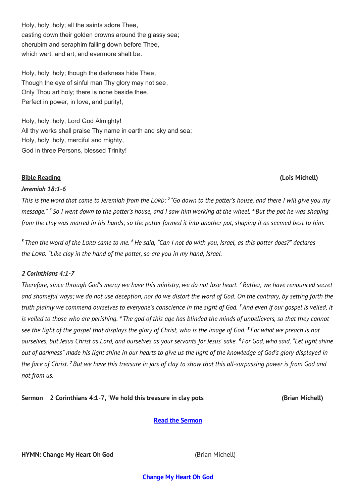Holy, holy, holy; all the saints adore Thee, casting down their golden crowns around the glassy sea; cherubim and seraphim falling down before Thee, which wert, and art, and evermore shalt be.

Holy, holy, holy; though the darkness hide Thee, Though the eye of sinful man Thy glory may not see, Only Thou art holy; there is none beside thee, Perfect in power, in love, and purity!,

Holy, holy, holy, Lord God Almighty! All thy works shall praise Thy name in earth and sky and sea; Holy, holy, holy, merciful and mighty, God in three Persons, blessed Trinity!

#### **Bible Reading (Lois Michell)**

#### *Jeremiah 18:1-6*

*This is the word that came to Jeremiah from the LORD*: <sup>2</sup> "Go down to the potter's house, and there I will give you my *message." <sup>3</sup> So I went down to the potter's house, and I saw him working at the wheel. <sup>4</sup> But the pot he was shaping from the clay was marred in his hands; so the potter formed it into another pot, shaping it as seemed best to him.*

*<sup>5</sup> Then the word of the LORD came to me. <sup>6</sup>He said, "Can I not do with you, Israel, as this potter does?" declares the LORD. "Like clay in the hand of the potter, so are you in my hand, Israel.*

#### *2 Corinthians 4:1-7*

*Therefore, since through God's mercy we have this ministry, we do not lose heart. <sup>2</sup> Rather, we have renounced secret and shameful ways; we do not use deception, nor do we distort the word of God. On the contrary, by setting forth the truth plainly we commend ourselves to everyone's conscience in the sight of God. <sup>3</sup> And even if our gospel is veiled, it is veiled to those who are perishing. <sup>4</sup> The god of this age has blinded the minds of unbelievers, so that they cannot see the light of the gospel that displays the glory of Christ, who is the image of God. <sup>5</sup> For what we preach is not ourselves, but Jesus Christ as Lord, and ourselves as your servants for Jesus' sake. <sup>6</sup> For God, who said, "Let light shine out of darkness" made his light shine in our hearts to give us the light of the knowledge of God's glory displayed in the face of Christ. <sup>7</sup> But we have this treasure in jars of clay to show that this all-surpassing power is from God and not from us.*

**Sermon** 2 Corinthians 4:1-7, 'We hold this treasure in clay pots (Brian Michell)

**[Read the Sermon](https://milfordbaptist.co.nz/wp-content/uploads/2022/02/2022.02.13-SERMON-TREASURE-IN-CLAY-POTS.pdf)**

**HYMN: Change My Heart Oh God**  (Brian Michell)

**[Change My Heart Oh God](http://www.viewpure.com/IlSmG-_eJTU?start=0&end=0)**